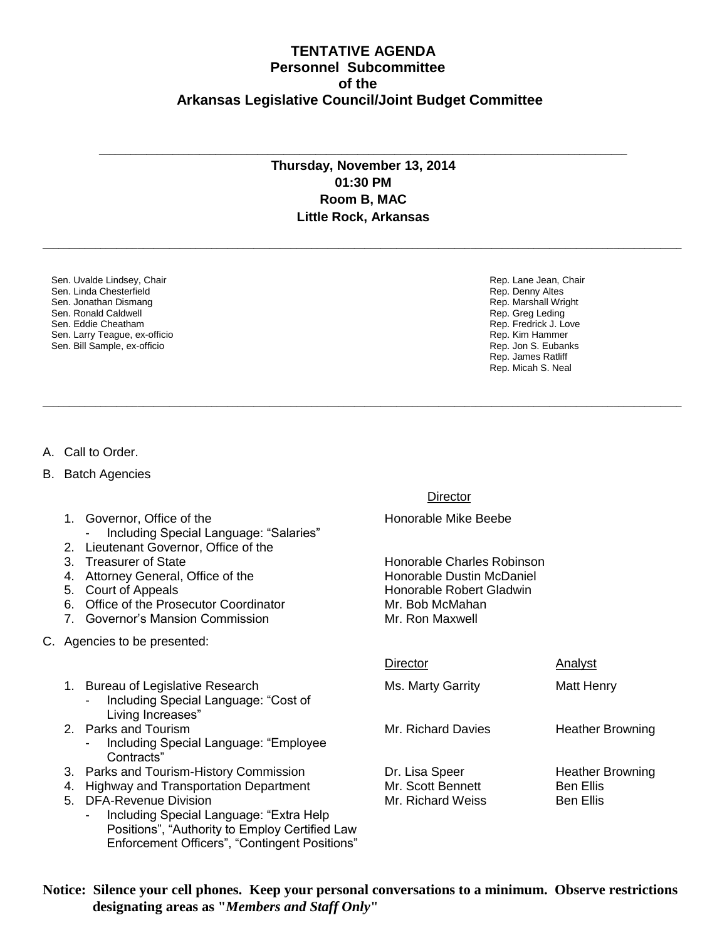## **TENTATIVE AGENDA Personnel Subcommittee of the Arkansas Legislative Council/Joint Budget Committee**

## **Thursday, November 13, 2014 01:30 PM Room B, MAC Little Rock, Arkansas**

**\_\_\_\_\_\_\_\_\_\_\_\_\_\_\_\_\_\_\_\_\_\_\_\_\_\_\_\_\_\_\_\_\_\_\_\_\_\_\_\_\_\_\_\_\_\_\_\_\_\_\_\_\_\_\_\_\_\_\_\_\_\_\_\_\_\_\_\_\_\_\_\_\_\_\_\_\_\_\_\_\_\_\_\_\_\_\_\_\_\_\_\_\_\_\_\_\_\_\_\_\_\_\_\_\_\_\_\_\_\_\_\_\_\_\_\_\_\_\_\_\_**

**\_\_\_\_\_\_\_\_\_\_\_\_\_\_\_\_\_\_\_\_\_\_\_\_\_\_\_\_\_\_\_\_\_\_\_\_\_\_\_\_\_\_\_\_\_\_\_\_\_\_\_\_\_\_\_\_\_\_\_\_\_\_\_\_\_\_\_\_\_\_\_\_\_\_\_\_\_\_\_\_\_\_\_\_\_\_\_\_\_\_\_\_\_\_\_\_\_\_\_\_\_\_\_\_\_\_\_\_\_\_\_\_\_\_\_\_\_\_\_\_\_**

**\_\_\_\_\_\_\_\_\_\_\_\_\_\_\_\_\_\_\_\_\_\_\_\_\_\_\_\_\_\_\_\_\_\_\_\_\_\_\_\_\_\_\_\_\_\_\_\_\_\_\_\_\_\_\_\_\_\_\_\_\_\_\_\_\_\_\_\_\_\_\_\_\_\_\_\_\_\_\_\_\_\_\_\_\_\_\_\_\_\_\_\_\_\_\_\_\_\_\_\_**

Sen. Uvalde Lindsey, Chair Sen. Linda Chesterfield Sen. Jonathan Dismang Sen. Ronald Caldwell Sen. Eddie Cheatham Sen. Larry Teague, ex-officio Sen. Bill Sample, ex-officio

Rep. Lane Jean, Chair Rep. Denny Altes Rep. Marshall Wright Rep. Greg Leding Rep. Fredrick J. Love Rep. Kim Hammer Rep. Jon S. Eubanks Rep. James Ratliff Rep. Micah S. Neal

- A. Call to Order.
- B. Batch Agencies
	- 1. Governor, Office of the **Honorable Mike Beebe** 
		- Including Special Language: "Salaries"
	- 2. Lieutenant Governor, Office of the
	-
	- 4. Attorney General, Office of the Honorable Dustin McDaniel
	-
	- 6. Office of the Prosecutor Coordinator Mr. Bob McMahan
	- 7. Governor's Mansion Commission Mr. Ron Maxwell
- C. Agencies to be presented:
	- 1. Bureau of Legislative Research Ms. Marty Garrity Must Henry - Including Special Language: "Cost of Living Increases"
	- - Including Special Language: "Employee Contracts"
	- 3. Parks and Tourism-History Commission **Dr. Lisa Speer** Heather Browning
	- 4. Highway and Transportation Department Mr. Scott Bennett Ben Ellis
	- 5. DFA-Revenue Division **Mr. Richard Weiss** Ben Ellis
		- Including Special Language: "Extra Help Positions", "Authority to Employ Certified Law Enforcement Officers", "Contingent Positions"

**Director** 

3. Treasurer of State **Honorable Charles Robinson** 5. Court of Appeals **Honorable Robert Gladwin** 

## Director **Analyst**

2. Parks and Tourism Mr. Richard Davies Heather Browning

**Notice: Silence your cell phones. Keep your personal conversations to a minimum. Observe restrictions designating areas as "***Members and Staff Only***"**